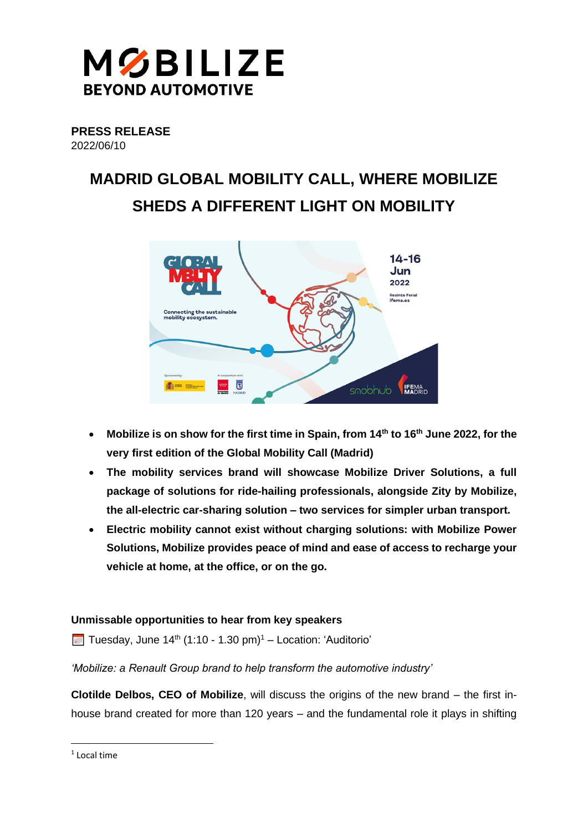

**PRESS RELEASE**  2022/06/10

# **MADRID GLOBAL MOBILITY CALL, WHERE MOBILIZE SHEDS A DIFFERENT LIGHT ON MOBILITY**



- **Mobilize is on show for the first time in Spain, from 14th to 16th June 2022, for the very first edition of the Global Mobility Call (Madrid)**
- **The mobility services brand will showcase Mobilize Driver Solutions, a full package of solutions for ride-hailing professionals, alongside Zity by Mobilize, the all-electric car-sharing solution – two services for simpler urban transport.**
- **Electric mobility cannot exist without charging solutions: with Mobilize Power Solutions, Mobilize provides peace of mind and ease of access to recharge your vehicle at home, at the office, or on the go.**

# **Unmissable opportunities to hear from key speakers**

**Tuesday, June 14<sup>th</sup> (1:10 - 1.30 pm)<sup>1</sup> – Location: 'Auditorio'** 

## *'Mobilize: a Renault Group brand to help transform the automotive industry'*

**Clotilde Delbos, CEO of Mobilize**, will discuss the origins of the new brand – the first inhouse brand created for more than 120 years – and the fundamental role it plays in shifting

<sup>1</sup> Local time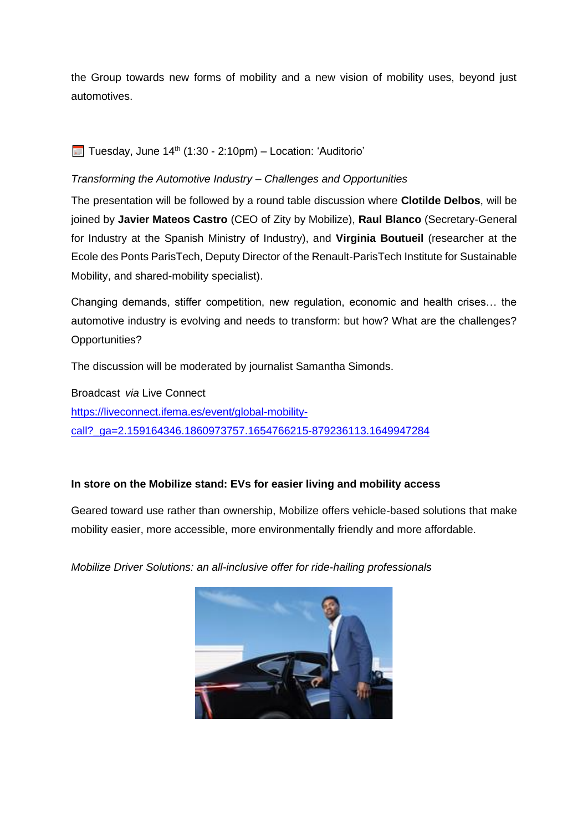the Group towards new forms of mobility and a new vision of mobility uses, beyond just automotives.

# **Tuesday, June 14th (1:30 - 2:10pm)** – Location: 'Auditorio'

# *Transforming the Automotive Industry – Challenges and Opportunities*

The presentation will be followed by a round table discussion where **Clotilde Delbos**, will be joined by **Javier Mateos Castro** (CEO of Zity by Mobilize), **Raul Blanco** (Secretary-General for Industry at the Spanish Ministry of Industry), and **Virginia Boutueil** (researcher at the Ecole des Ponts ParisTech, Deputy Director of the Renault-ParisTech Institute for Sustainable Mobility, and shared-mobility specialist).

Changing demands, stiffer competition, new regulation, economic and health crises… the automotive industry is evolving and needs to transform: but how? What are the challenges? Opportunities?

The discussion will be moderated by journalist Samantha Simonds.

Broadcast *via* Live Connect [https://liveconnect.ifema.es/event/global-mobility](https://liveconnect.ifema.es/event/global-mobility-call?_ga=2.159164346.1860973757.1654766215-879236113.1649947284)[call?\\_ga=2.159164346.1860973757.1654766215-879236113.1649947284](https://liveconnect.ifema.es/event/global-mobility-call?_ga=2.159164346.1860973757.1654766215-879236113.1649947284)

## **In store on the Mobilize stand: EVs for easier living and mobility access**

Geared toward use rather than ownership, Mobilize offers vehicle-based solutions that make mobility easier, more accessible, more environmentally friendly and more affordable.

*Mobilize Driver Solutions: an all-inclusive offer for ride-hailing professionals*

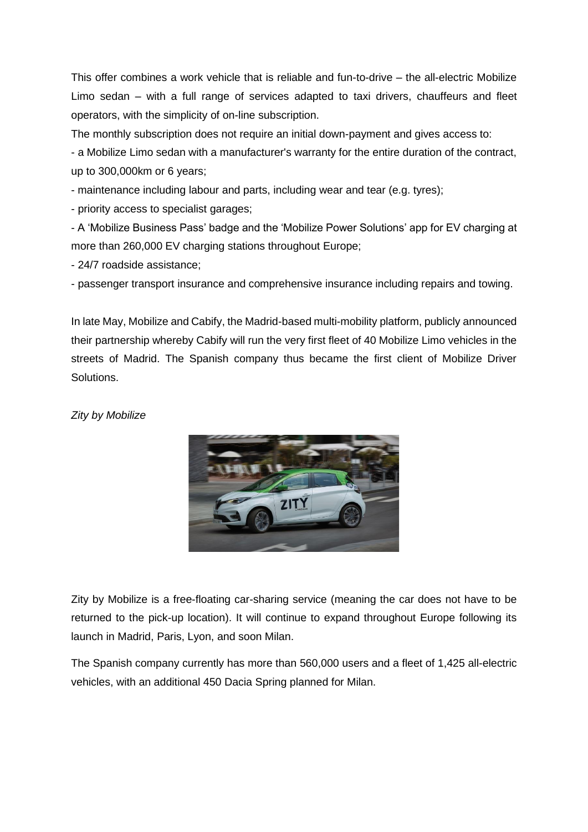This offer combines a work vehicle that is reliable and fun-to-drive – the all-electric Mobilize Limo sedan – with a full range of services adapted to taxi drivers, chauffeurs and fleet operators, with the simplicity of on-line subscription.

The monthly subscription does not require an initial down-payment and gives access to:

- a Mobilize Limo sedan with a manufacturer's warranty for the entire duration of the contract, up to 300,000km or 6 years;

- maintenance including labour and parts, including wear and tear (e.g. tyres);

- priority access to specialist garages;

- A 'Mobilize Business Pass' badge and the 'Mobilize Power Solutions' app for EV charging at more than 260,000 EV charging stations throughout Europe;

- 24/7 roadside assistance;

- passenger transport insurance and comprehensive insurance including repairs and towing.

In late May, Mobilize and Cabify, the Madrid-based multi-mobility platform, publicly announced their partnership whereby Cabify will run the very first fleet of 40 Mobilize Limo vehicles in the streets of Madrid. The Spanish company thus became the first client of Mobilize Driver Solutions.

#### *Zity by Mobilize*



Zity by Mobilize is a free-floating car-sharing service (meaning the car does not have to be returned to the pick-up location). It will continue to expand throughout Europe following its launch in Madrid, Paris, Lyon, and soon Milan.

The Spanish company currently has more than 560,000 users and a fleet of 1,425 all-electric vehicles, with an additional 450 Dacia Spring planned for Milan.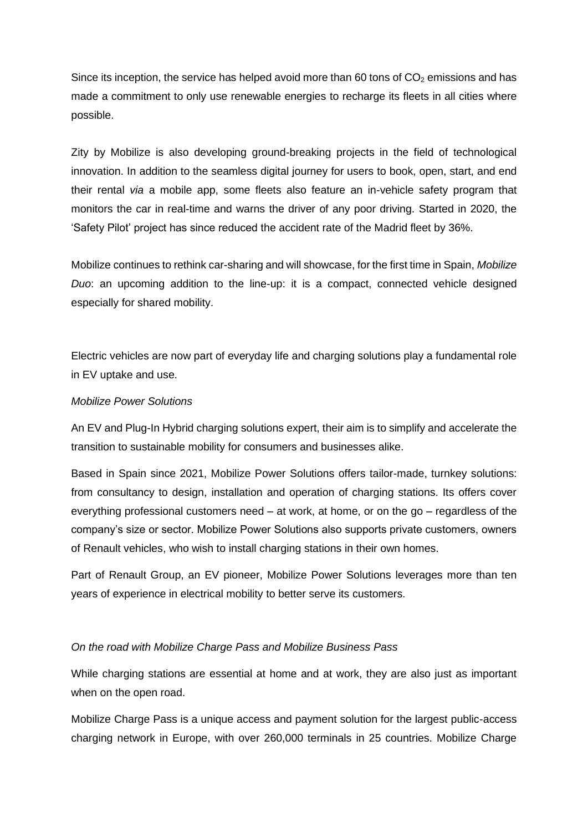Since its inception, the service has helped avoid more than 60 tons of  $CO<sub>2</sub>$  emissions and has made a commitment to only use renewable energies to recharge its fleets in all cities where possible.

Zity by Mobilize is also developing ground-breaking projects in the field of technological innovation. In addition to the seamless digital journey for users to book, open, start, and end their rental *via* a mobile app, some fleets also feature an in-vehicle safety program that monitors the car in real-time and warns the driver of any poor driving. Started in 2020, the 'Safety Pilot' project has since reduced the accident rate of the Madrid fleet by 36%.

Mobilize continues to rethink car-sharing and will showcase, for the first time in Spain, *Mobilize Duo*: an upcoming addition to the line-up: it is a compact, connected vehicle designed especially for shared mobility.

Electric vehicles are now part of everyday life and charging solutions play a fundamental role in EV uptake and use.

#### *Mobilize Power Solutions*

An EV and Plug-In Hybrid charging solutions expert, their aim is to simplify and accelerate the transition to sustainable mobility for consumers and businesses alike.

Based in Spain since 2021, Mobilize Power Solutions offers tailor-made, turnkey solutions: from consultancy to design, installation and operation of charging stations. Its offers cover everything professional customers need – at work, at home, or on the go – regardless of the company's size or sector. Mobilize Power Solutions also supports private customers, owners of Renault vehicles, who wish to install charging stations in their own homes.

Part of Renault Group, an EV pioneer, Mobilize Power Solutions leverages more than ten years of experience in electrical mobility to better serve its customers.

# *On the road with Mobilize Charge Pass and Mobilize Business Pass*

While charging stations are essential at home and at work, they are also just as important when on the open road.

Mobilize Charge Pass is a unique access and payment solution for the largest public-access charging network in Europe, with over 260,000 terminals in 25 countries. Mobilize Charge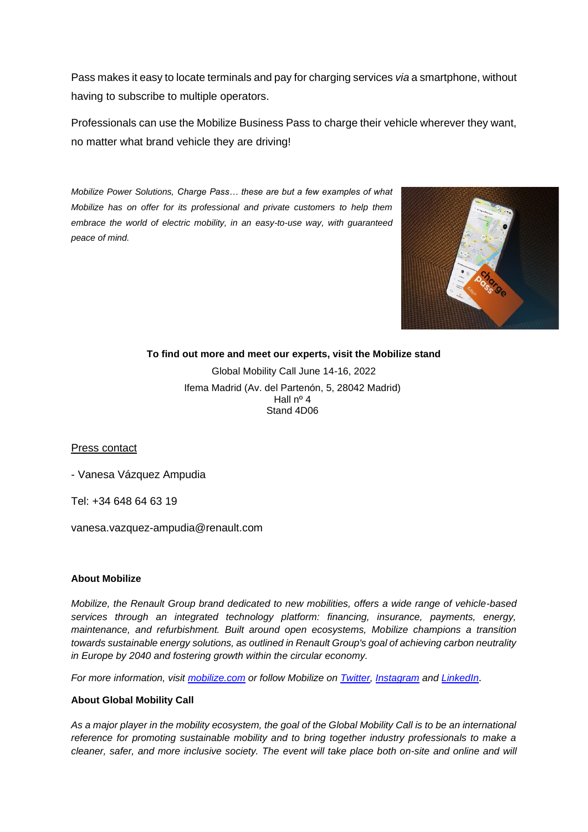Pass makes it easy to locate terminals and pay for charging services *via* a smartphone, without having to subscribe to multiple operators.

Professionals can use the Mobilize Business Pass to charge their vehicle wherever they want, no matter what brand vehicle they are driving!

*Mobilize Power Solutions, Charge Pass… these are but a few examples of what Mobilize has on offer for its professional and private customers to help them embrace the world of electric mobility, in an easy-to-use way, with guaranteed peace of mind.*



**To find out more and meet our experts, visit the Mobilize stand**

Global Mobility Call June 14-16, 2022 Ifema Madrid (Av. del Partenón, 5, 28042 Madrid) Hall nº 4 Stand 4D06

Press contact

- Vanesa Vázquez Ampudia

Tel: +34 648 64 63 19

vanesa.vazquez-ampudia@renault.com

#### **About Mobilize**

*Mobilize, the Renault Group brand dedicated to new mobilities, offers a wide range of vehicle-based services through an integrated technology platform: financing, insurance, payments, energy, maintenance, and refurbishment. Built around open ecosystems, Mobilize champions a transition towards sustainable energy solutions, as outlined in Renault Group's goal of achieving carbon neutrality in Europe by 2040 and fostering growth within the circular economy.* 

*For more information, visit [mobilize.com](https://www.mobilize.com/) or follow Mobilize on [Twitter,](https://twitter.com/WeAreMobilizers) [Instagram](https://www.instagram.com/WeAreMobilizers/) and [LinkedIn](https://www.linkedin.com/showcase/mobilize-beyond-automotive/)*.

#### **About Global Mobility Call**

*As a major player in the mobility ecosystem, the goal of the Global Mobility Call is to be an international reference for promoting sustainable mobility and to bring together industry professionals to make a cleaner, safer, and more inclusive society. The event will take place both on-site and online and will*